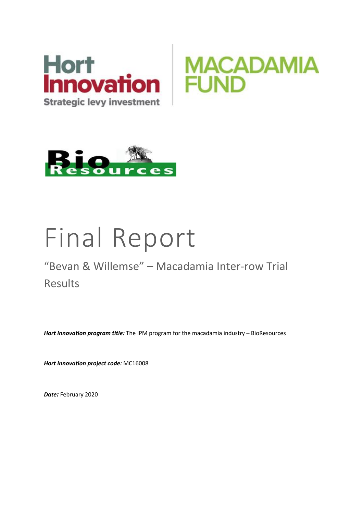





# Final Report

## "Bevan & Willemse" – Macadamia Inter-row Trial Results

*Hort Innovation program title:* The IPM program for the macadamia industry – BioResources

*Hort Innovation project code:* MC16008

*Date:* February 2020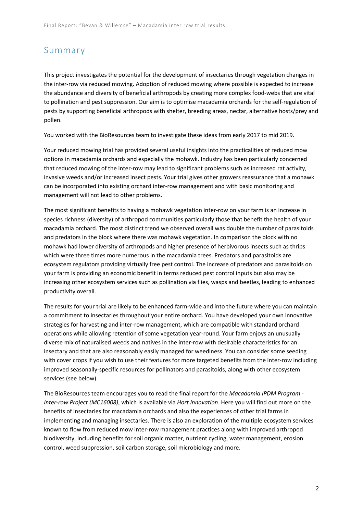#### Summary

This project investigates the potential for the development of insectaries through vegetation changes in the inter-row via reduced mowing. Adoption of reduced mowing where possible is expected to increase the abundance and diversity of beneficial arthropods by creating more complex food-webs that are vital to pollination and pest suppression. Our aim is to optimise macadamia orchards for the self-regulation of pests by supporting beneficial arthropods with shelter, breeding areas, nectar, alternative hosts/prey and pollen.

You worked with the BioResources team to investigate these ideas from early 2017 to mid 2019.

Your reduced mowing trial has provided several useful insights into the practicalities of reduced mow options in macadamia orchards and especially the mohawk. Industry has been particularly concerned that reduced mowing of the inter-row may lead to significant problems such as increased rat activity, invasive weeds and/or increased insect pests. Your trial gives other growers reassurance that a mohawk can be incorporated into existing orchard inter-row management and with basic monitoring and management will not lead to other problems.

The most significant benefits to having a mohawk vegetation inter-row on your farm is an increase in species richness (diversity) of arthropod communities particularly those that benefit the health of your macadamia orchard. The most distinct trend we observed overall was double the number of parasitoids and predators in the block where there was mohawk vegetation. In comparison the block with no mohawk had lower diversity of arthropods and higher presence of herbivorous insects such as thrips which were three times more numerous in the macadamia trees. Predators and parasitoids are ecosystem regulators providing virtually free pest control. The increase of predators and parasitoids on your farm is providing an economic benefit in terms reduced pest control inputs but also may be increasing other ecosystem services such as pollination via flies, wasps and beetles, leading to enhanced productivity overall.

The results for your trial are likely to be enhanced farm-wide and into the future where you can maintain a commitment to insectaries throughout your entire orchard. You have developed your own innovative strategies for harvesting and inter-row management, which are compatible with standard orchard operations while allowing retention of some vegetation year-round. Your farm enjoys an unusually diverse mix of naturalised weeds and natives in the inter-row with desirable characteristics for an insectary and that are also reasonably easily managed for weediness. You can consider some seeding with cover crops if you wish to use their features for more targeted benefits from the inter-row including improved seasonally-specific resources for pollinators and parasitoids, along with other ecosystem services (see below).

The BioResources team encourages you to read the final report for the *Macadamia IPDM Program - Inter-row Project (MC16008)*, which is available via *Hort Innovation*. Here you will find out more on the benefits of insectaries for macadamia orchards and also the experiences of other trial farms in implementing and managing insectaries. There is also an exploration of the multiple ecosystem services known to flow from reduced mow inter-row management practices along with improved arthropod biodiversity, including benefits for soil organic matter, nutrient cycling, water management, erosion control, weed suppression, soil carbon storage, soil microbiology and more.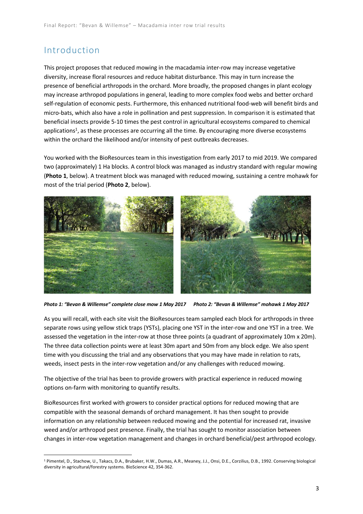## Introduction

This project proposes that reduced mowing in the macadamia inter-row may increase vegetative diversity, increase floral resources and reduce habitat disturbance. This may in turn increase the presence of beneficial arthropods in the orchard. More broadly, the proposed changes in plant ecology may increase arthropod populations in general, leading to more complex food webs and better orchard self-regulation of economic pests. Furthermore, this enhanced nutritional food-web will benefit birds and micro-bats, which also have a role in pollination and pest suppression. In comparison it is estimated that beneficial insects provide 5-10 times the pest control in agricultural ecosystems compared to chemical applications<sup>1</sup>, as these processes are occurring all the time. By encouraging more diverse ecosystems within the orchard the likelihood and/or intensity of pest outbreaks decreases.

You worked with the BioResources team in this investigation from early 2017 to mid 2019. We compared two (approximately) 1 Ha blocks. A control block was managed as industry standard with regular mowing (**Photo 1**, below). A treatment block was managed with reduced mowing, sustaining a centre mohawk for most of the trial period (**Photo 2**, below).



*Photo 1: "Bevan & Willemse" complete close mow 1 May 2017 Photo 2: "Bevan & Willemse" mohawk 1 May 2017*

As you will recall, with each site visit the BioResources team sampled each block for arthropods in three separate rows using yellow stick traps (YSTs), placing one YST in the inter-row and one YST in a tree. We assessed the vegetation in the inter-row at those three points (a quadrant of approximately 10m x 20m). The three data collection points were at least 30m apart and 50m from any block edge. We also spent time with you discussing the trial and any observations that you may have made in relation to rats, weeds, insect pests in the inter-row vegetation and/or any challenges with reduced mowing.

The objective of the trial has been to provide growers with practical experience in reduced mowing options on-farm with monitoring to quantify results.

BioResources first worked with growers to consider practical options for reduced mowing that are compatible with the seasonal demands of orchard management. It has then sought to provide information on any relationship between reduced mowing and the potential for increased rat, invasive weed and/or arthropod pest presence. Finally, the trial has sought to monitor association between changes in inter-row vegetation management and changes in orchard beneficial/pest arthropod ecology.

<sup>1</sup> Pimentel, D., Stachow, U., Takacs, D.A., Brubaker, H.W., Dumas, A.R., Meaney, J.J., Onsi, D.E., Corzilius, D.B., 1992. Conserving biological diversity in agricultural/forestry systems. BioScience 42, 354-362.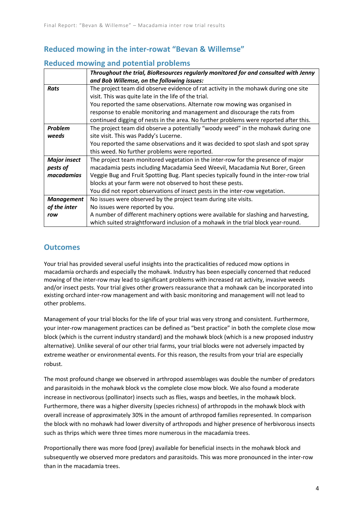#### **Reduced mowing in the inter-rowat "Bevan & Willemse"**

#### **Reduced mowing and potential problems**

|                     | Throughout the trial, BioResources regularly monitored for and consulted with Jenny     |
|---------------------|-----------------------------------------------------------------------------------------|
|                     | and Bob Willemse, on the following issues:                                              |
| <b>Rats</b>         | The project team did observe evidence of rat activity in the mohawk during one site     |
|                     | visit. This was quite late in the life of the trial.                                    |
|                     | You reported the same observations. Alternate row mowing was organised in               |
|                     | response to enable monitoring and management and discourage the rats from               |
|                     | continued digging of nests in the area. No further problems were reported after this.   |
| Problem             | The project team did observe a potentially "woody weed" in the mohawk during one        |
| weeds               | site visit. This was Paddy's Lucerne.                                                   |
|                     | You reported the same observations and it was decided to spot slash and spot spray      |
|                     | this weed. No further problems were reported.                                           |
| <b>Major insect</b> | The project team monitored vegetation in the inter-row for the presence of major        |
| pests of            | macadamia pests including Macadamia Seed Weevil, Macadamia Nut Borer, Green             |
| macadamias          | Veggie Bug and Fruit Spotting Bug. Plant species typically found in the inter-row trial |
|                     | blocks at your farm were not observed to host these pests.                              |
|                     | You did not report observations of insect pests in the inter-row vegetation.            |
| <b>Management</b>   | No issues were observed by the project team during site visits.                         |
| of the inter        | No issues were reported by you.                                                         |
| row                 | A number of different machinery options were available for slashing and harvesting,     |
|                     | which suited straightforward inclusion of a mohawk in the trial block year-round.       |

#### **Outcomes**

Your trial has provided several useful insights into the practicalities of reduced mow options in macadamia orchards and especially the mohawk. Industry has been especially concerned that reduced mowing of the inter-row may lead to significant problems with increased rat activity, invasive weeds and/or insect pests. Your trial gives other growers reassurance that a mohawk can be incorporated into existing orchard inter-row management and with basic monitoring and management will not lead to other problems.

Management of your trial blocks for the life of your trial was very strong and consistent. Furthermore, your inter-row management practices can be defined as "best practice" in both the complete close mow block (which is the current industry standard) and the mohawk block (which is a new proposed industry alternative). Unlike several of our other trial farms, your trial blocks were not adversely impacted by extreme weather or environmental events. For this reason, the results from your trial are especially robust.

The most profound change we observed in arthropod assemblages was double the number of predators and parasitoids in the mohawk block vs the complete close mow block. We also found a moderate increase in nectivorous (pollinator) insects such as flies, wasps and beetles, in the mohawk block. Furthermore, there was a higher diversity (species richness) of arthropods in the mohawk block with overall increase of approximately 30% in the amount of arthropod families represented. In comparison the block with no mohawk had lower diversity of arthropods and higher presence of herbivorous insects such as thrips which were three times more numerous in the macadamia trees.

Proportionally there was more food (prey) available for beneficial insects in the mohawk block and subsequently we observed more predators and parasitoids. This was more pronounced in the inter-row than in the macadamia trees.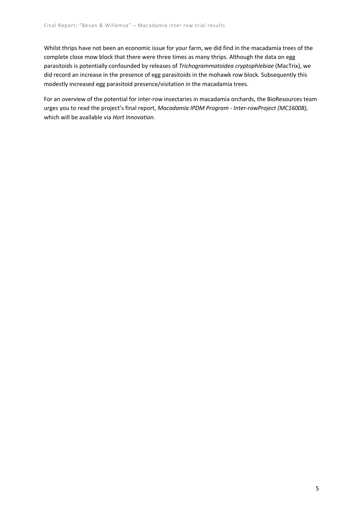Whilst thrips have not been an economic issue for your farm, we did find in the macadamia trees of the complete close mow block that there were three times as many thrips. Although the data on egg parasitoids is potentially confounded by releases of *Trichogrammatoidea cryptophlebiae* (MacTrix), we did record an increase in the presence of egg parasitoids in the mohawk row block. Subsequently this modestly increased egg parasitoid presence/visitation in the macadamia trees.

For an overview of the potential for inter-row insectaries in macadamia orchards, the BioResources team urges you to read the project's final report, *Macadamia IPDM Program - Inter-rowProject (MC16008),*  which will be available via *Hort Innovation*.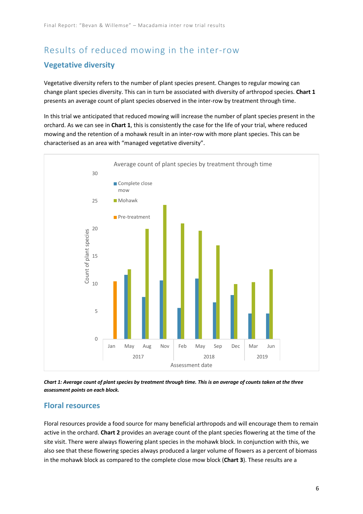## Results of reduced mowing in the inter-row **Vegetative diversity**

Vegetative diversity refers to the number of plant species present. Changes to regular mowing can change plant species diversity. This can in turn be associated with diversity of arthropod species. **Chart 1** presents an average count of plant species observed in the inter-row by treatment through time.

In this trial we anticipated that reduced mowing will increase the number of plant species present in the orchard. As we can see in **Chart 1**, this is consistently the case for the life of your trial, where reduced mowing and the retention of a mohawk result in an inter-row with more plant species. This can be characterised as an area with "managed vegetative diversity".



*Chart 1: Average count of plant species by treatment through time. This is an average of counts taken at the three assessment points on each block.*

#### **Floral resources**

Floral resources provide a food source for many beneficial arthropods and will encourage them to remain active in the orchard. **Chart 2** provides an average count of the plant species flowering at the time of the site visit. There were always flowering plant species in the mohawk block. In conjunction with this, we also see that these flowering species always produced a larger volume of flowers as a percent of biomass in the mohawk block as compared to the complete close mow block (**Chart 3**). These results are a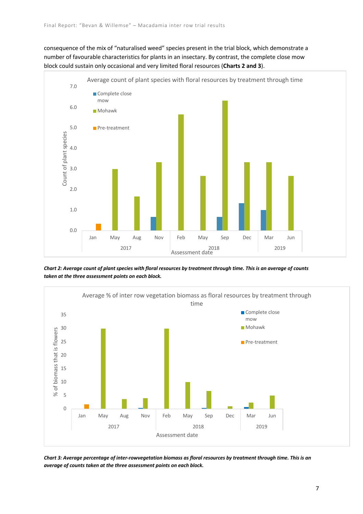consequence of the mix of "naturalised weed" species present in the trial block, which demonstrate a number of favourable characteristics for plants in an insectary. By contrast, the complete close mow block could sustain only occasional and very limited floral resources (**Charts 2 and 3**).



*Chart 2: Average count of plant species with floral resources by treatment through time. This is an average of counts taken at the three assessment points on each block.*



*Chart 3: Average percentage of inter-rowvegetation biomass as floral resources by treatment through time. This is an average of counts taken at the three assessment points on each block.*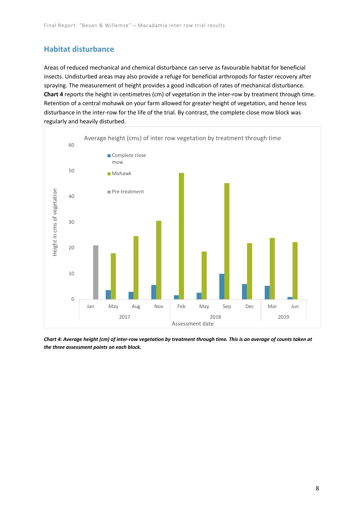#### **Habitat disturbance**

Areas of reduced mechanical and chemical disturbance can serve as favourable habitat for beneficial insects. Undisturbed areas may also provide a refuge for beneficial arthropods for faster recovery after spraying. The measurement of height provides a good indication of rates of mechanical disturbance. **Chart 4** reports the height in centimetres (cm) of vegetation in the inter-row by treatment through time. Retention of a central mohawk on your farm allowed for greater height of vegetation, and hence less disturbance in the inter-row for the life of the trial. By contrast, the complete close mow block was regularly and heavily disturbed.



*Chart 4: Average height (cm) of inter-row vegetation by treatment through time. This is an average of counts taken at the three assessment points on each block.*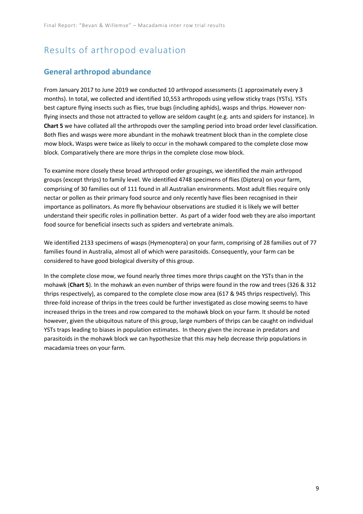## Results of arthropod evaluation

#### **General arthropod abundance**

From January 2017 to June 2019 we conducted 10 arthropod assessments (1 approximately every 3 months). In total, we collected and identified 10,553 arthropods using yellow sticky traps (YSTs). YSTs best capture flying insects such as flies, true bugs (including aphids), wasps and thrips. However nonflying insects and those not attracted to yellow are seldom caught (e.g. ants and spiders for instance). In **Chart 5** we have collated all the arthropods over the sampling period into broad order level classification. Both flies and wasps were more abundant in the mohawk treatment block than in the complete close mow block**.** Wasps were twice as likely to occur in the mohawk compared to the complete close mow block. Comparatively there are more thrips in the complete close mow block.

To examine more closely these broad arthropod order groupings, we identified the main arthropod groups (except thrips) to family level. We identified 4748 specimens of flies (Diptera) on your farm, comprising of 30 families out of 111 found in all Australian environments. Most adult flies require only nectar or pollen as their primary food source and only recently have flies been recognised in their importance as pollinators. As more fly behaviour observations are studied it is likely we will better understand their specific roles in pollination better. As part of a wider food web they are also important food source for beneficial insects such as spiders and vertebrate animals.

We identified 2133 specimens of wasps (Hymenoptera) on your farm, comprising of 28 families out of 77 families found in Australia, almost all of which were parasitoids. Consequently, your farm can be considered to have good biological diversity of this group.

In the complete close mow, we found nearly three times more thrips caught on the YSTs than in the mohawk (**Chart 5**). In the mohawk an even number of thrips were found in the row and trees (326 & 312 thrips respectively), as compared to the complete close mow area (617 & 945 thrips respectively). This three-fold increase of thrips in the trees could be further investigated as close mowing seems to have increased thrips in the trees and row compared to the mohawk block on your farm. It should be noted however, given the ubiquitous nature of this group, large numbers of thrips can be caught on individual YSTs traps leading to biases in population estimates. In theory given the increase in predators and parasitoids in the mohawk block we can hypothesize that this may help decrease thrip populations in macadamia trees on your farm.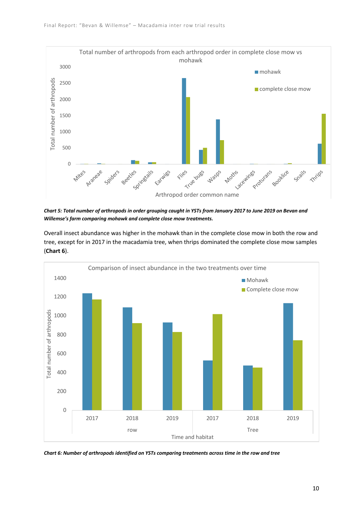

*Chart 5: Total number of arthropods in order grouping caught in YSTs from January 2017 to June 2019 on Bevan and Willemse's farm comparing mohawk and complete close mow treatments.*

Overall insect abundance was higher in the mohawk than in the complete close mow in both the row and tree, except for in 2017 in the macadamia tree, when thrips dominated the complete close mow samples (**Chart 6**).



*Chart 6: Number of arthropods identified on YSTs comparing treatments across time in the row and tree*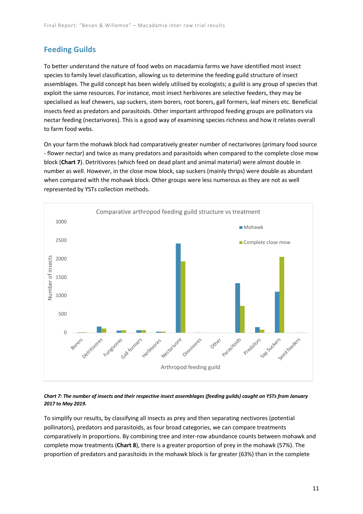#### **Feeding Guilds**

To better understand the nature of food webs on macadamia farms we have identified most insect species to family level classification, allowing us to determine the feeding guild structure of insect assemblages. The guild concept has been widely utilised by ecologists; a guild is any group of species that exploit the same resources. For instance, most insect herbivores are selective feeders, they may be specialised as leaf chewers, sap suckers, stem borers, root borers, gall formers, leaf miners etc. Beneficial insects feed as predators and parasitoids. Other important arthropod feeding groups are pollinators via nectar feeding (nectarivores). This is a good way of examining species richness and how it relates overall to farm food webs.

On your farm the mohawk block had comparatively greater number of nectarivores (primary food source - flower nectar) and twice as many predators and parasitoids when compared to the complete close mow block (**Chart 7**). Detritivores (which feed on dead plant and animal material) were almost double in number as well. However, in the close mow block, sap suckers (mainly thrips) were double as abundant when compared with the mohawk block. Other groups were less numerous as they are not as well represented by YSTs collection methods.



#### *Chart 7: The number of insects and their respective insect assemblages (feeding guilds) caught on YSTs from January 2017 to May 2019.*

To simplify our results, by classifying all insects as prey and then separating nectivores (potential pollinators), predators and parasitoids, as four broad categories, we can compare treatments comparatively in proportions. By combining tree and inter-row abundance counts between mohawk and complete mow treatments (**Chart 8**), there is a greater proportion of prey in the mohawk (57%). The proportion of predators and parasitoids in the mohawk block is far greater (63%) than in the complete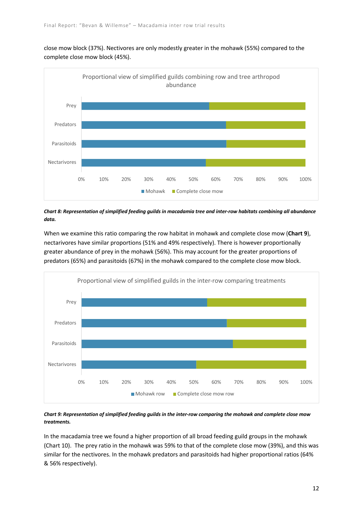

close mow block (37%). Nectivores are only modestly greater in the mohawk (55%) compared to the complete close mow block (45%).

*Chart 8: Representation of simplified feeding guilds in macadamia tree and inter-row habitats combining all abundance data.*

When we examine this ratio comparing the row habitat in mohawk and complete close mow (**Chart 9**), nectarivores have similar proportions (51% and 49% respectively). There is however proportionally greater abundance of prey in the mohawk (56%). This may account for the greater proportions of predators (65%) and parasitoids (67%) in the mohawk compared to the complete close mow block.



*Chart 9: Representation of simplified feeding guilds in the inter-row comparing the mohawk and complete close mow treatments.*

In the macadamia tree we found a higher proportion of all broad feeding guild groups in the mohawk (Chart 10). The prey ratio in the mohawk was 59% to that of the complete close mow (39%), and this was similar for the nectivores. In the mohawk predators and parasitoids had higher proportional ratios (64% & 56% respectively).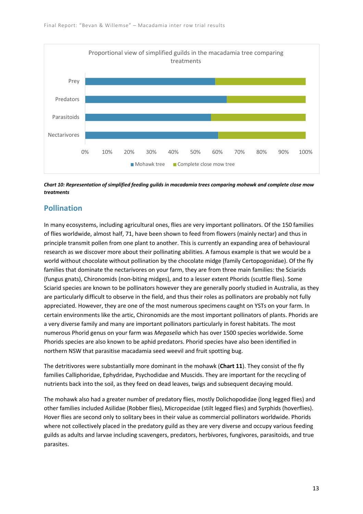

*Chart 10: Representation of simplified feeding guilds in macadamia trees comparing mohawk and complete close mow treatments*

#### **Pollination**

In many ecosystems, including agricultural ones, flies are very important pollinators. Of the 150 families of flies worldwide, almost half, 71, have been shown to feed from flowers (mainly nectar) and thus in principle transmit pollen from one plant to another. This is currently an expanding area of behavioural research as we discover more about their pollinating abilities. A famous example is that we would be a world without chocolate without pollination by the chocolate midge (family Certopogonidae). Of the fly families that dominate the nectarivores on your farm, they are from three main families: the Sciarids (fungus gnats), Chironomids (non-biting midges), and to a lesser extent Phorids (scuttle flies). Some Sciarid species are known to be pollinators however they are generally poorly studied in Australia, as they are particularly difficult to observe in the field, and thus their roles as pollinators are probably not fully appreciated. However, they are one of the most numerous specimens caught on YSTs on your farm. In certain environments like the artic, Chironomids are the most important pollinators of plants. Phorids are a very diverse family and many are important pollinators particularly in forest habitats. The most numerous Phorid genus on your farm was *Megaselia* which has over 1500 species worldwide. Some Phorids species are also known to be aphid predators. Phorid species have also been identified in northern NSW that parasitise macadamia seed weevil and fruit spotting bug.

The detritivores were substantially more dominant in the mohawk (**Chart 11**). They consist of the fly families Calliphoridae, Ephydridae, Psychodidae and Muscids. They are important for the recycling of nutrients back into the soil, as they feed on dead leaves, twigs and subsequent decaying mould.

The mohawk also had a greater number of predatory flies, mostly Dolichopodidae (long legged flies) and other families included Asilidae (Robber flies), Micropezidae (stilt legged flies) and Syrphids (hoverflies). Hover flies are second only to solitary bees in their value as commercial pollinators worldwide. Phorids where not collectively placed in the predatory guild as they are very diverse and occupy various feeding guilds as adults and larvae including scavengers, predators, herbivores, fungivores, parasitoids, and true parasites.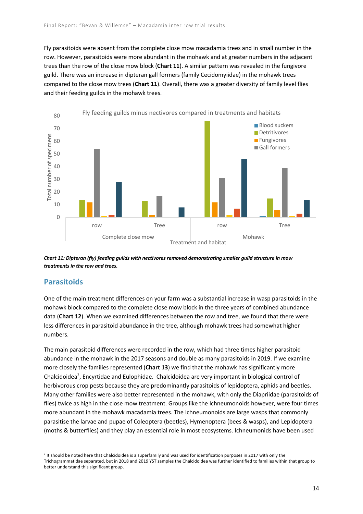Fly parasitoids were absent from the complete close mow macadamia trees and in small number in the row. However, parasitoids were more abundant in the mohawk and at greater numbers in the adjacent trees than the row of the close mow block (**Chart 11**). A similar pattern was revealed in the fungivore guild. There was an increase in dipteran gall formers (family Cecidomyiidae) in the mohawk trees compared to the close mow trees (**Chart 11**). Overall, there was a greater diversity of family level flies and their feeding guilds in the mohawk trees.



*Chart 11: Dipteran (fly) feeding guilds with nectivores removed demonstrating smaller guild structure in mow treatments in the row and trees.*

#### **Parasitoids**

One of the main treatment differences on your farm was a substantial increase in wasp parasitoids in the mohawk block compared to the complete close mow block in the three years of combined abundance data (**Chart 12**). When we examined differences between the row and tree, we found that there were less differences in parasitoid abundance in the tree, although mohawk trees had somewhat higher numbers.

The main parasitoid differences were recorded in the row, which had three times higher parasitoid abundance in the mohawk in the 2017 seasons and double as many parasitoids in 2019. If we examine more closely the families represented (**Chart 13**) we find that the mohawk has significantly more Chalcidoidea<sup>2</sup>, Encyrtidae and Eulophidae. Chalcidoidea are very important in biological control of herbivorous crop pests because they are predominantly parasitoids of lepidoptera, aphids and beetles. Many other families were also better represented in the mohawk, with only the Diapriidae (parasitoids of flies) twice as high in the close mow treatment. Groups like the Ichneumonoids however, were four times more abundant in the mohawk macadamia trees. The Ichneumonoids are large wasps that commonly parasitise the larvae and pupae of Coleoptera (beetles), Hymenoptera (bees & wasps), and Lepidoptera (moths & butterflies) and they play an essential role in most ecosystems. Ichneumonids have been used

<sup>&</sup>lt;sup>2</sup> It should be noted here that Chalcidoidea is a superfamily and was used for identification purposes in 2017 with only the Trichogrammatidae separated, but in 2018 and 2019 YST samples the Chalcidoidea was further identified to families within that group to better understand this significant group.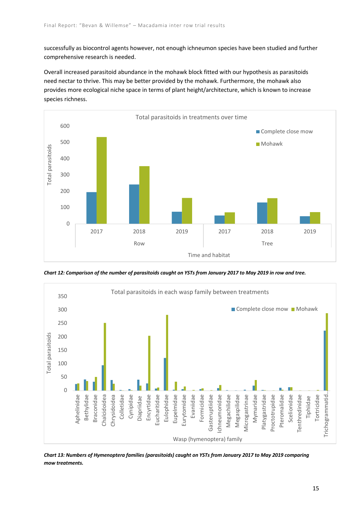successfully as biocontrol agents however, not enough ichneumon species have been studied and further comprehensive research is needed.

Overall increased parasitoid abundance in the mohawk block fitted with our hypothesis as parasitoids need nectar to thrive. This may be better provided by the mohawk. Furthermore, the mohawk also provides more ecological niche space in terms of plant height/architecture, which is known to increase species richness.



*Chart 12: Comparison of the number of parasitoids caught on YSTs from January 2017 to May 2019 in row and tree.*



*Chart 13: Numbers of Hymenoptera families (parasitoids) caught on YSTs from January 2017 to May 2019 comparing mow treatments.*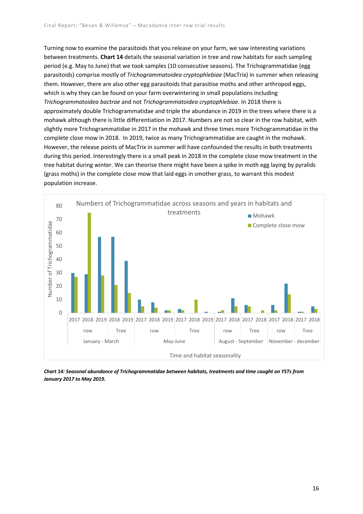Turning now to examine the parasitoids that you release on your farm, we saw interesting variations between treatments. **Chart 14** details the seasonal variation in tree and row habitats for each sampling period (e.g. May to June) that we took samples (10 consecutive seasons). The Trichogrammatidae (egg parasitoids) comprise mostly of *Trichogrammatoidea cryptophlebiae* (MacTrix) in summer when releasing them. However, there are also other egg parasitoids that parasitise moths and other arthropod eggs, which is why they can be found on your farm overwintering in small populations including *Trichogrammatoidea bactrae* and not *Trichogrammatoidea cryptophlebiae*. In 2018 there is approximately double Trichogrammatidae and triple the abundance in 2019 in the trees where there is a mohawk although there is little differentiation in 2017. Numbers are not so clear in the row habitat, with slightly more Trichogrammatidae in 2017 in the mohawk and three times more Trichogrammatidae in the complete close mow in 2018. In 2019, twice as many Trichogrammatidae are caught in the mohawk. However, the release points of MacTrix in summer will have confounded the results in both treatments during this period. Interestingly there is a small peak in 2018 in the complete close mow treatment in the tree habitat during winter. We can theorise there might have been a spike in moth egg laying by pyralids (grass moths) in the complete close mow that laid eggs in smother grass, to warrant this modest population increase.



*Chart 14: Seasonal abundance of Trichogrammatidae between habitats, treatments and time caught on YSTs from January 2017 to May 2019.*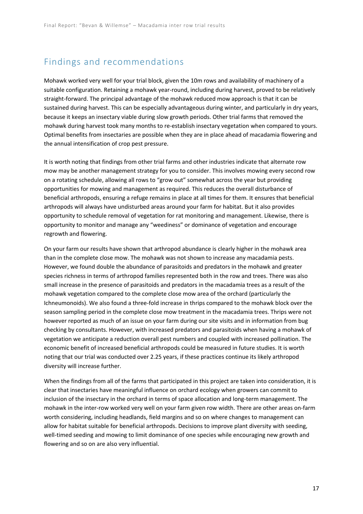### Findings and recommendations

Mohawk worked very well for your trial block, given the 10m rows and availability of machinery of a suitable configuration. Retaining a mohawk year-round, including during harvest, proved to be relatively straight-forward. The principal advantage of the mohawk reduced mow approach is that it can be sustained during harvest. This can be especially advantageous during winter, and particularly in dry years, because it keeps an insectary viable during slow growth periods. Other trial farms that removed the mohawk during harvest took many months to re-establish insectary vegetation when compared to yours. Optimal benefits from insectaries are possible when they are in place ahead of macadamia flowering and the annual intensification of crop pest pressure.

It is worth noting that findings from other trial farms and other industries indicate that alternate row mow may be another management strategy for you to consider. This involves mowing every second row on a rotating schedule, allowing all rows to "grow out" somewhat across the year but providing opportunities for mowing and management as required. This reduces the overall disturbance of beneficial arthropods, ensuring a refuge remains in place at all times for them. It ensures that beneficial arthropods will always have undisturbed areas around your farm for habitat. But it also provides opportunity to schedule removal of vegetation for rat monitoring and management. Likewise, there is opportunity to monitor and manage any "weediness" or dominance of vegetation and encourage regrowth and flowering.

On your farm our results have shown that arthropod abundance is clearly higher in the mohawk area than in the complete close mow. The mohawk was not shown to increase any macadamia pests. However, we found double the abundance of parasitoids and predators in the mohawk and greater species richness in terms of arthropod families represented both in the row and trees. There was also small increase in the presence of parasitoids and predators in the macadamia trees as a result of the mohawk vegetation compared to the complete close mow area of the orchard (particularly the Ichneumonoids). We also found a three-fold increase in thrips compared to the mohawk block over the season sampling period in the complete close mow treatment in the macadamia trees. Thrips were not however reported as much of an issue on your farm during our site visits and in information from bug checking by consultants. However, with increased predators and parasitoids when having a mohawk of vegetation we anticipate a reduction overall pest numbers and coupled with increased pollination. The economic benefit of increased beneficial arthropods could be measured in future studies. It is worth noting that our trial was conducted over 2.25 years, if these practices continue its likely arthropod diversity will increase further.

When the findings from all of the farms that participated in this project are taken into consideration, it is clear that insectaries have meaningful influence on orchard ecology when growers can commit to inclusion of the insectary in the orchard in terms of space allocation and long-term management. The mohawk in the inter-row worked very well on your farm given row width. There are other areas on-farm worth considering, including headlands, field margins and so on where changes to management can allow for habitat suitable for beneficial arthropods. Decisions to improve plant diversity with seeding, well-timed seeding and mowing to limit dominance of one species while encouraging new growth and flowering and so on are also very influential.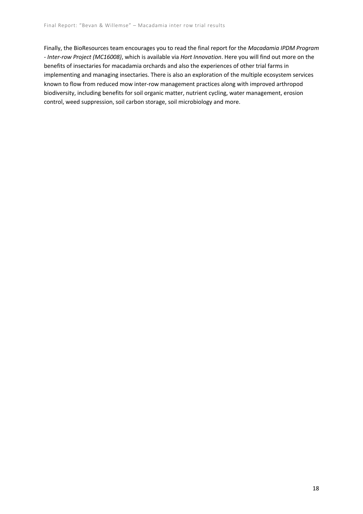Finally, the BioResources team encourages you to read the final report for the *Macadamia IPDM Program - Inter-row Project (MC16008)*, which is available via *Hort Innovation*. Here you will find out more on the benefits of insectaries for macadamia orchards and also the experiences of other trial farms in implementing and managing insectaries. There is also an exploration of the multiple ecosystem services known to flow from reduced mow inter-row management practices along with improved arthropod biodiversity, including benefits for soil organic matter, nutrient cycling, water management, erosion control, weed suppression, soil carbon storage, soil microbiology and more.